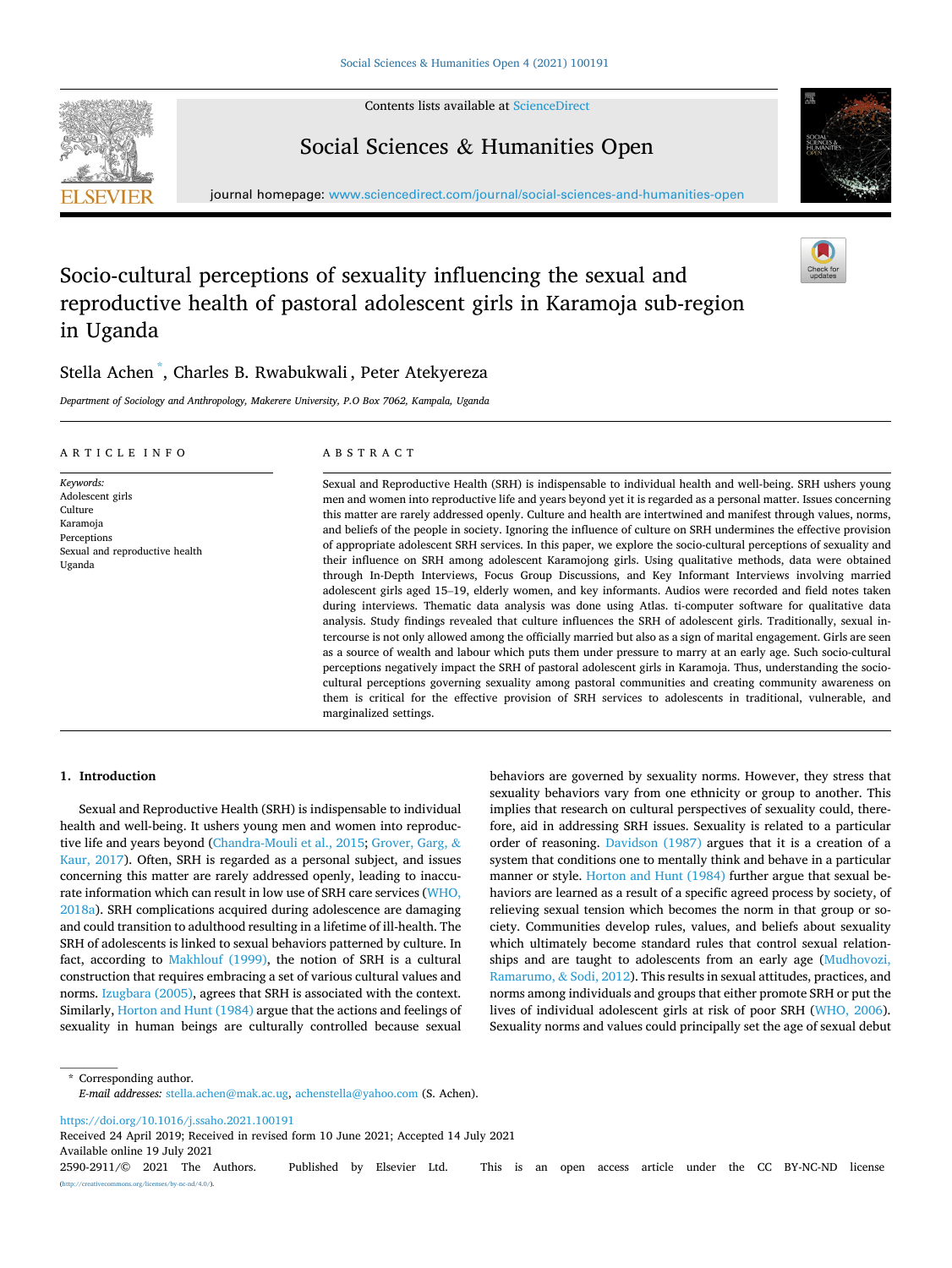Social Sciences & Humanities Open

Contents lists available at [ScienceDirect](www.sciencedirect.com/science/journal/25902911)



journal homepage: [www.sciencedirect.com/journal/social-sciences-and-humanities-open](https://www.sciencedirect.com/journal/social-sciences-and-humanities-open)

# Socio-cultural perceptions of sexuality influencing the sexual and reproductive health of pastoral adolescent girls in Karamoja sub-region in Uganda

marginalized settings.

## Stella Achen \* , Charles B. Rwabukwali , Peter Atekyereza

*Department of Sociology and Anthropology, Makerere University, P.O Box 7062, Kampala, Uganda* 

| ARTICLE INFO                                                                                                    | ABSTRACT                                                                                                                                                                                                                                                                                                                                                                                                                                                                                                                                                                                                                                                                                                                                                                                                                                                                                                                                                                                                                                                                                                                                                                                                                                                                                                                                                                                                                                                                                                                                                                                                                                                                                                                                           |
|-----------------------------------------------------------------------------------------------------------------|----------------------------------------------------------------------------------------------------------------------------------------------------------------------------------------------------------------------------------------------------------------------------------------------------------------------------------------------------------------------------------------------------------------------------------------------------------------------------------------------------------------------------------------------------------------------------------------------------------------------------------------------------------------------------------------------------------------------------------------------------------------------------------------------------------------------------------------------------------------------------------------------------------------------------------------------------------------------------------------------------------------------------------------------------------------------------------------------------------------------------------------------------------------------------------------------------------------------------------------------------------------------------------------------------------------------------------------------------------------------------------------------------------------------------------------------------------------------------------------------------------------------------------------------------------------------------------------------------------------------------------------------------------------------------------------------------------------------------------------------------|
| Keywords:<br>Adolescent girls<br>Culture<br>Karamoja<br>Perceptions<br>Sexual and reproductive health<br>Uganda | Sexual and Reproductive Health (SRH) is indispensable to individual health and well-being. SRH ushers young<br>men and women into reproductive life and years beyond yet it is regarded as a personal matter. Issues concerning<br>this matter are rarely addressed openly. Culture and health are intertwined and manifest through values, norms,<br>and beliefs of the people in society. Ignoring the influence of culture on SRH undermines the effective provision<br>of appropriate adolescent SRH services. In this paper, we explore the socio-cultural perceptions of sexuality and<br>their influence on SRH among adolescent Karamojong girls. Using qualitative methods, data were obtained<br>through In-Depth Interviews, Focus Group Discussions, and Key Informant Interviews involving married<br>adolescent girls aged 15–19, elderly women, and key informants. Audios were recorded and field notes taken<br>during interviews. Thematic data analysis was done using Atlas. ti-computer software for qualitative data<br>analysis. Study findings revealed that culture influences the SRH of adolescent girls. Traditionally, sexual in-<br>tercourse is not only allowed among the officially married but also as a sign of marital engagement. Girls are seen<br>as a source of wealth and labour which puts them under pressure to marry at an early age. Such socio-cultural<br>perceptions negatively impact the SRH of pastoral adolescent girls in Karamoja. Thus, understanding the socio-<br>cultural perceptions governing sexuality among pastoral communities and creating community awareness on<br>them is critical for the effective provision of SRH services to adolescents in traditional, vulnerable, and |

## **1. Introduction**

Sexual and Reproductive Health (SRH) is indispensable to individual health and well-being. It ushers young men and women into reproductive life and years beyond [\(Chandra-Mouli et al., 2015](#page-5-0); [Grover, Garg,](#page-5-0) & [Kaur, 2017\)](#page-5-0). Often, SRH is regarded as a personal subject, and issues concerning this matter are rarely addressed openly, leading to inaccurate information which can result in low use of SRH care services [\(WHO,](#page-6-0)  [2018a\)](#page-6-0). SRH complications acquired during adolescence are damaging and could transition to adulthood resulting in a lifetime of ill-health. The SRH of adolescents is linked to sexual behaviors patterned by culture. In fact, according to [Makhlouf \(1999\)](#page-5-0), the notion of SRH is a cultural construction that requires embracing a set of various cultural values and norms. [Izugbara \(2005\),](#page-5-0) agrees that SRH is associated with the context. Similarly, [Horton and Hunt \(1984\)](#page-5-0) argue that the actions and feelings of sexuality in human beings are culturally controlled because sexual behaviors are governed by sexuality norms. However, they stress that sexuality behaviors vary from one ethnicity or group to another. This implies that research on cultural perspectives of sexuality could, therefore, aid in addressing SRH issues. Sexuality is related to a particular order of reasoning. [Davidson \(1987\)](#page-5-0) argues that it is a creation of a system that conditions one to mentally think and behave in a particular manner or style. [Horton and Hunt \(1984\)](#page-5-0) further argue that sexual behaviors are learned as a result of a specific agreed process by society, of relieving sexual tension which becomes the norm in that group or society. Communities develop rules, values, and beliefs about sexuality which ultimately become standard rules that control sexual relationships and are taught to adolescents from an early age ([Mudhovozi,](#page-5-0)  [Ramarumo,](#page-5-0) & Sodi, 2012). This results in sexual attitudes, practices, and norms among individuals and groups that either promote SRH or put the lives of individual adolescent girls at risk of poor SRH ([WHO, 2006](#page-6-0)). Sexuality norms and values could principally set the age of sexual debut

\* Corresponding author. *E-mail addresses:* [stella.achen@mak.ac.ug](mailto:stella.achen@mak.ac.ug), [achenstella@yahoo.com](mailto:achenstella@yahoo.com) (S. Achen).

<https://doi.org/10.1016/j.ssaho.2021.100191>

Available online 19 July 2021 Received 24 April 2019; Received in revised form 10 June 2021; Accepted 14 July 2021

2590-2911/© 2021 The Authors. Published by Elsevier Ltd. This is an open access article under the CC BY-NC-ND license [\(http://creativecommons.org/licenses/by-nc-nd/4.0/\)](http://creativecommons.org/licenses/by-nc-nd/4.0/).

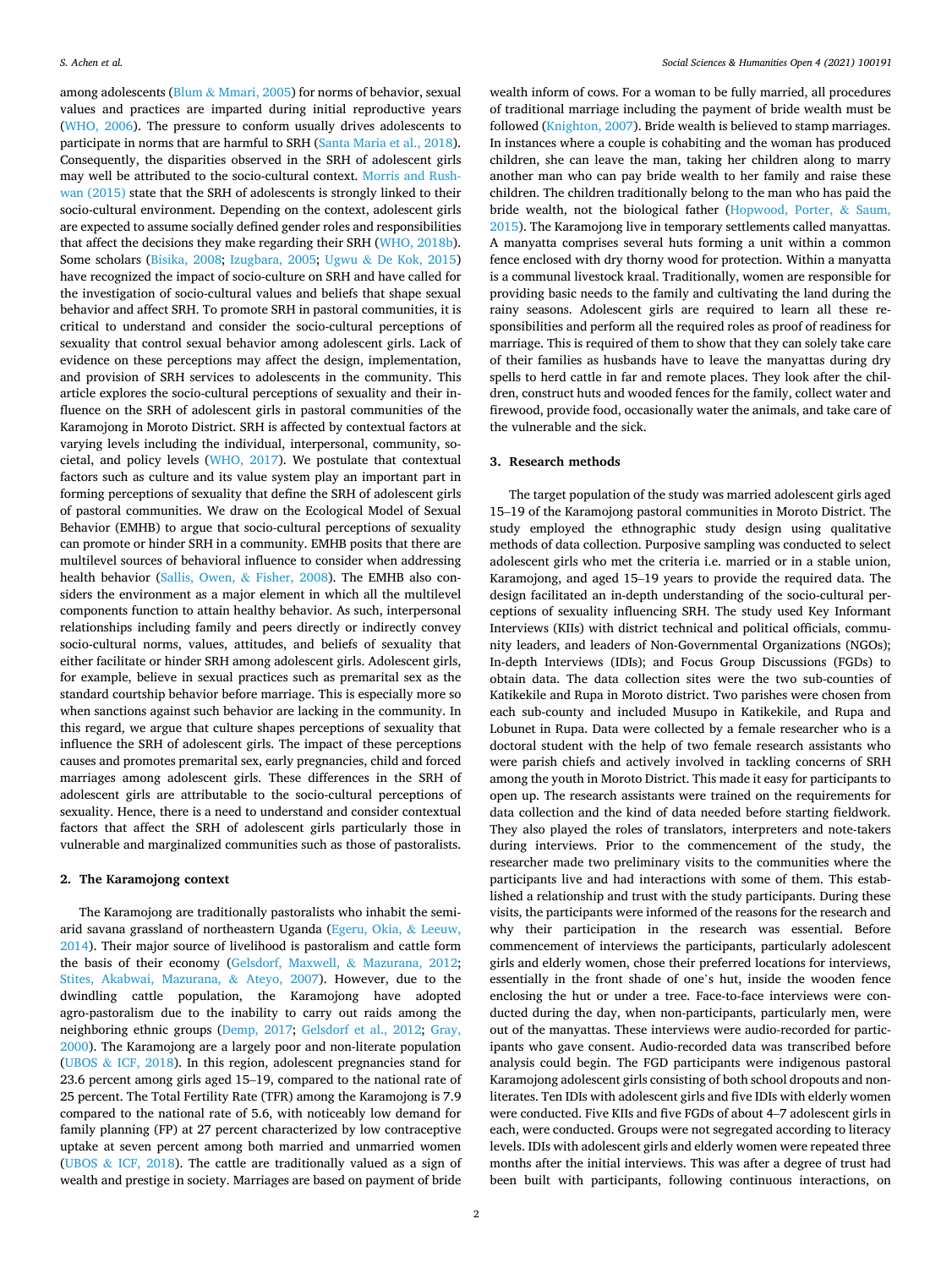among adolescents (Blum & [Mmari, 2005](#page-5-0)) for norms of behavior, sexual values and practices are imparted during initial reproductive years ([WHO, 2006](#page-6-0)). The pressure to conform usually drives adolescents to participate in norms that are harmful to SRH ([Santa Maria et al., 2018](#page-6-0)). Consequently, the disparities observed in the SRH of adolescent girls may well be attributed to the socio-cultural context. [Morris and Rush](#page-5-0)[wan \(2015\)](#page-5-0) state that the SRH of adolescents is strongly linked to their socio-cultural environment. Depending on the context, adolescent girls are expected to assume socially defined gender roles and responsibilities that affect the decisions they make regarding their SRH [\(WHO, 2018b](#page-6-0)). Some scholars [\(Bisika, 2008;](#page-5-0) [Izugbara, 2005](#page-5-0); Ugwu & [De Kok, 2015\)](#page-6-0) have recognized the impact of socio-culture on SRH and have called for the investigation of socio-cultural values and beliefs that shape sexual behavior and affect SRH. To promote SRH in pastoral communities, it is critical to understand and consider the socio-cultural perceptions of sexuality that control sexual behavior among adolescent girls. Lack of evidence on these perceptions may affect the design, implementation, and provision of SRH services to adolescents in the community. This article explores the socio-cultural perceptions of sexuality and their influence on the SRH of adolescent girls in pastoral communities of the Karamojong in Moroto District. SRH is affected by contextual factors at varying levels including the individual, interpersonal, community, societal, and policy levels [\(WHO, 2017](#page-6-0)). We postulate that contextual factors such as culture and its value system play an important part in forming perceptions of sexuality that define the SRH of adolescent girls of pastoral communities. We draw on the Ecological Model of Sexual Behavior (EMHB) to argue that socio-cultural perceptions of sexuality can promote or hinder SRH in a community. EMHB posits that there are multilevel sources of behavioral influence to consider when addressing health behavior ([Sallis, Owen,](#page-5-0) & Fisher, 2008). The EMHB also considers the environment as a major element in which all the multilevel components function to attain healthy behavior. As such, interpersonal relationships including family and peers directly or indirectly convey socio-cultural norms, values, attitudes, and beliefs of sexuality that either facilitate or hinder SRH among adolescent girls. Adolescent girls, for example, believe in sexual practices such as premarital sex as the standard courtship behavior before marriage. This is especially more so when sanctions against such behavior are lacking in the community. In this regard, we argue that culture shapes perceptions of sexuality that influence the SRH of adolescent girls. The impact of these perceptions causes and promotes premarital sex, early pregnancies, child and forced marriages among adolescent girls. These differences in the SRH of adolescent girls are attributable to the socio-cultural perceptions of sexuality. Hence, there is a need to understand and consider contextual factors that affect the SRH of adolescent girls particularly those in vulnerable and marginalized communities such as those of pastoralists.

#### **2. The Karamojong context**

The Karamojong are traditionally pastoralists who inhabit the semiarid savana grassland of northeastern Uganda [\(Egeru, Okia,](#page-5-0) & Leeuw, [2014\)](#page-5-0). Their major source of livelihood is pastoralism and cattle form the basis of their economy ([Gelsdorf, Maxwell,](#page-5-0) & Mazurana, 2012; [Stites, Akabwai, Mazurana,](#page-6-0) & Ateyo, 2007). However, due to the dwindling cattle population, the Karamojong have adopted agro-pastoralism due to the inability to carry out raids among the neighboring ethnic groups ([Demp, 2017](#page-5-0); [Gelsdorf et al., 2012;](#page-5-0) [Gray,](#page-5-0)  [2000\)](#page-5-0). The Karamojong are a largely poor and non-literate population (UBOS & [ICF, 2018\)](#page-5-0). In this region, adolescent pregnancies stand for 23.6 percent among girls aged 15–19, compared to the national rate of 25 percent. The Total Fertility Rate (TFR) among the Karamojong is 7.9 compared to the national rate of 5.6, with noticeably low demand for family planning (FP) at 27 percent characterized by low contraceptive uptake at seven percent among both married and unmarried women (UBOS & [ICF, 2018](#page-5-0)). The cattle are traditionally valued as a sign of wealth and prestige in society. Marriages are based on payment of bride

wealth inform of cows. For a woman to be fully married, all procedures of traditional marriage including the payment of bride wealth must be followed [\(Knighton, 2007](#page-5-0)). Bride wealth is believed to stamp marriages. In instances where a couple is cohabiting and the woman has produced children, she can leave the man, taking her children along to marry another man who can pay bride wealth to her family and raise these children. The children traditionally belong to the man who has paid the bride wealth, not the biological father ([Hopwood, Porter,](#page-5-0) & Saum, [2015\)](#page-5-0). The Karamojong live in temporary settlements called manyattas. A manyatta comprises several huts forming a unit within a common fence enclosed with dry thorny wood for protection. Within a manyatta is a communal livestock kraal. Traditionally, women are responsible for providing basic needs to the family and cultivating the land during the rainy seasons. Adolescent girls are required to learn all these responsibilities and perform all the required roles as proof of readiness for marriage. This is required of them to show that they can solely take care of their families as husbands have to leave the manyattas during dry spells to herd cattle in far and remote places. They look after the children, construct huts and wooded fences for the family, collect water and firewood, provide food, occasionally water the animals, and take care of the vulnerable and the sick.

## **3. Research methods**

The target population of the study was married adolescent girls aged 15–19 of the Karamojong pastoral communities in Moroto District. The study employed the ethnographic study design using qualitative methods of data collection. Purposive sampling was conducted to select adolescent girls who met the criteria i.e. married or in a stable union, Karamojong, and aged 15–19 years to provide the required data. The design facilitated an in-depth understanding of the socio-cultural perceptions of sexuality influencing SRH. The study used Key Informant Interviews (KIIs) with district technical and political officials, community leaders, and leaders of Non-Governmental Organizations (NGOs); In-depth Interviews (IDIs); and Focus Group Discussions (FGDs) to obtain data. The data collection sites were the two sub-counties of Katikekile and Rupa in Moroto district. Two parishes were chosen from each sub-county and included Musupo in Katikekile, and Rupa and Lobunet in Rupa. Data were collected by a female researcher who is a doctoral student with the help of two female research assistants who were parish chiefs and actively involved in tackling concerns of SRH among the youth in Moroto District. This made it easy for participants to open up. The research assistants were trained on the requirements for data collection and the kind of data needed before starting fieldwork. They also played the roles of translators, interpreters and note-takers during interviews. Prior to the commencement of the study, the researcher made two preliminary visits to the communities where the participants live and had interactions with some of them. This established a relationship and trust with the study participants. During these visits, the participants were informed of the reasons for the research and why their participation in the research was essential. Before commencement of interviews the participants, particularly adolescent girls and elderly women, chose their preferred locations for interviews, essentially in the front shade of one's hut, inside the wooden fence enclosing the hut or under a tree. Face-to-face interviews were conducted during the day, when non-participants, particularly men, were out of the manyattas. These interviews were audio-recorded for participants who gave consent. Audio-recorded data was transcribed before analysis could begin. The FGD participants were indigenous pastoral Karamojong adolescent girls consisting of both school dropouts and nonliterates. Ten IDIs with adolescent girls and five IDIs with elderly women were conducted. Five KIIs and five FGDs of about 4–7 adolescent girls in each, were conducted. Groups were not segregated according to literacy levels. IDIs with adolescent girls and elderly women were repeated three months after the initial interviews. This was after a degree of trust had been built with participants, following continuous interactions, on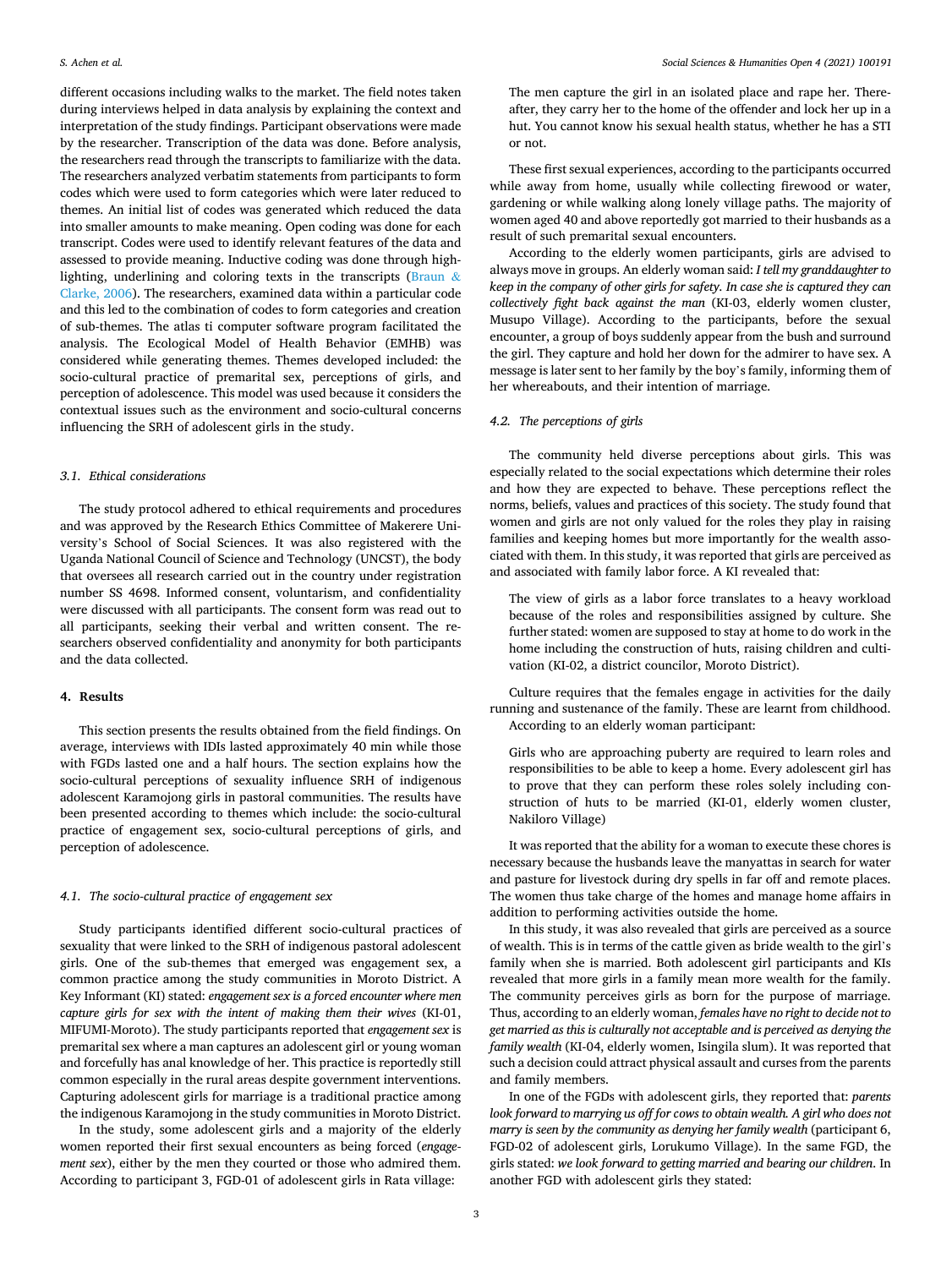different occasions including walks to the market. The field notes taken during interviews helped in data analysis by explaining the context and interpretation of the study findings. Participant observations were made by the researcher. Transcription of the data was done. Before analysis, the researchers read through the transcripts to familiarize with the data. The researchers analyzed verbatim statements from participants to form codes which were used to form categories which were later reduced to themes. An initial list of codes was generated which reduced the data into smaller amounts to make meaning. Open coding was done for each transcript. Codes were used to identify relevant features of the data and assessed to provide meaning. Inductive coding was done through highlighting, underlining and coloring texts in the transcripts [\(Braun](#page-5-0) & [Clarke, 2006\)](#page-5-0). The researchers, examined data within a particular code and this led to the combination of codes to form categories and creation of sub-themes. The atlas ti computer software program facilitated the analysis. The Ecological Model of Health Behavior (EMHB) was considered while generating themes. Themes developed included: the socio-cultural practice of premarital sex, perceptions of girls, and perception of adolescence. This model was used because it considers the contextual issues such as the environment and socio-cultural concerns influencing the SRH of adolescent girls in the study.

## *3.1. Ethical considerations*

The study protocol adhered to ethical requirements and procedures and was approved by the Research Ethics Committee of Makerere University's School of Social Sciences. It was also registered with the Uganda National Council of Science and Technology (UNCST), the body that oversees all research carried out in the country under registration number SS 4698. Informed consent, voluntarism, and confidentiality were discussed with all participants. The consent form was read out to all participants, seeking their verbal and written consent. The researchers observed confidentiality and anonymity for both participants and the data collected.

## **4. Results**

This section presents the results obtained from the field findings. On average, interviews with IDIs lasted approximately 40 min while those with FGDs lasted one and a half hours. The section explains how the socio-cultural perceptions of sexuality influence SRH of indigenous adolescent Karamojong girls in pastoral communities. The results have been presented according to themes which include: the socio-cultural practice of engagement sex, socio-cultural perceptions of girls, and perception of adolescence.

## *4.1. The socio-cultural practice of engagement sex*

Study participants identified different socio-cultural practices of sexuality that were linked to the SRH of indigenous pastoral adolescent girls. One of the sub-themes that emerged was engagement sex, a common practice among the study communities in Moroto District. A Key Informant (KI) stated: *engagement sex is a forced encounter where men capture girls for sex with the intent of making them their wives* (KI-01, MIFUMI-Moroto). The study participants reported that *engagement sex* is premarital sex where a man captures an adolescent girl or young woman and forcefully has anal knowledge of her. This practice is reportedly still common especially in the rural areas despite government interventions. Capturing adolescent girls for marriage is a traditional practice among the indigenous Karamojong in the study communities in Moroto District.

In the study, some adolescent girls and a majority of the elderly women reported their first sexual encounters as being forced (*engagement sex*), either by the men they courted or those who admired them. According to participant 3, FGD-01 of adolescent girls in Rata village:

The men capture the girl in an isolated place and rape her. Thereafter, they carry her to the home of the offender and lock her up in a hut. You cannot know his sexual health status, whether he has a STI or not.

These first sexual experiences, according to the participants occurred while away from home, usually while collecting firewood or water, gardening or while walking along lonely village paths. The majority of women aged 40 and above reportedly got married to their husbands as a result of such premarital sexual encounters.

According to the elderly women participants, girls are advised to always move in groups. An elderly woman said: *I tell my granddaughter to keep in the company of other girls for safety. In case she is captured they can collectively fight back against the man* (KI-03, elderly women cluster, Musupo Village). According to the participants, before the sexual encounter, a group of boys suddenly appear from the bush and surround the girl. They capture and hold her down for the admirer to have sex. A message is later sent to her family by the boy's family, informing them of her whereabouts, and their intention of marriage.

## *4.2. The perceptions of girls*

The community held diverse perceptions about girls. This was especially related to the social expectations which determine their roles and how they are expected to behave. These perceptions reflect the norms, beliefs, values and practices of this society. The study found that women and girls are not only valued for the roles they play in raising families and keeping homes but more importantly for the wealth associated with them. In this study, it was reported that girls are perceived as and associated with family labor force. A KI revealed that:

The view of girls as a labor force translates to a heavy workload because of the roles and responsibilities assigned by culture. She further stated: women are supposed to stay at home to do work in the home including the construction of huts, raising children and cultivation (KI-02, a district councilor, Moroto District).

Culture requires that the females engage in activities for the daily running and sustenance of the family. These are learnt from childhood. According to an elderly woman participant:

Girls who are approaching puberty are required to learn roles and responsibilities to be able to keep a home. Every adolescent girl has to prove that they can perform these roles solely including construction of huts to be married (KI-01, elderly women cluster, Nakiloro Village)

It was reported that the ability for a woman to execute these chores is necessary because the husbands leave the manyattas in search for water and pasture for livestock during dry spells in far off and remote places. The women thus take charge of the homes and manage home affairs in addition to performing activities outside the home.

In this study, it was also revealed that girls are perceived as a source of wealth. This is in terms of the cattle given as bride wealth to the girl's family when she is married. Both adolescent girl participants and KIs revealed that more girls in a family mean more wealth for the family. The community perceives girls as born for the purpose of marriage. Thus, according to an elderly woman, *females have no right to decide not to get married as this is culturally not acceptable and is perceived as denying the family wealth* (KI-04, elderly women, Isingila slum). It was reported that such a decision could attract physical assault and curses from the parents and family members.

In one of the FGDs with adolescent girls, they reported that: *parents look forward to marrying us off for cows to obtain wealth. A girl who does not marry is seen by the community as denying her family wealth (participant 6,* FGD-02 of adolescent girls, Lorukumo Village). In the same FGD, the girls stated: *we look forward to getting married and bearing our children*. In another FGD with adolescent girls they stated: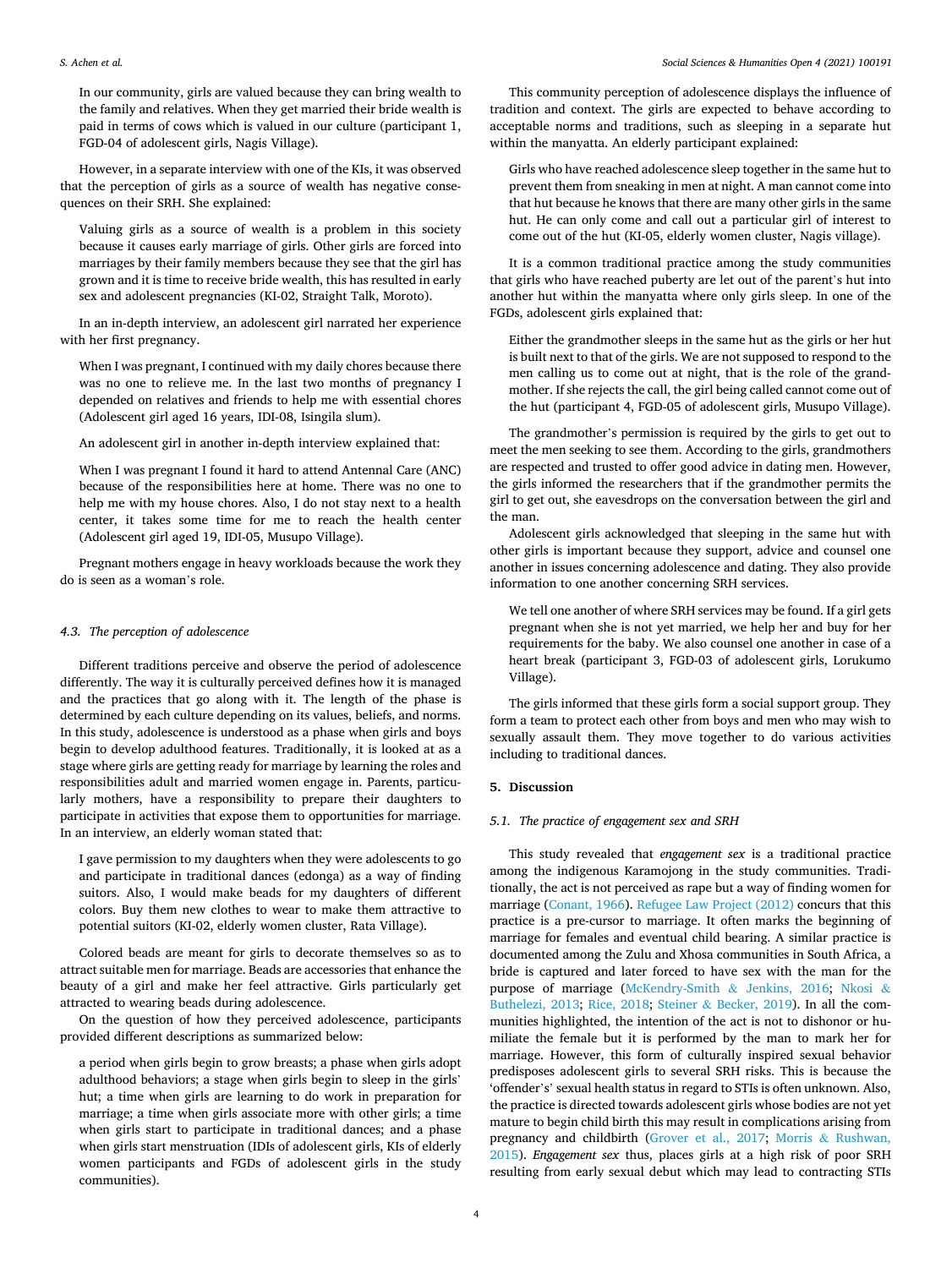#### *S. Achen et al.*

In our community, girls are valued because they can bring wealth to the family and relatives. When they get married their bride wealth is paid in terms of cows which is valued in our culture (participant 1, FGD-04 of adolescent girls, Nagis Village).

However, in a separate interview with one of the KIs, it was observed that the perception of girls as a source of wealth has negative consequences on their SRH. She explained:

Valuing girls as a source of wealth is a problem in this society because it causes early marriage of girls. Other girls are forced into marriages by their family members because they see that the girl has grown and it is time to receive bride wealth, this has resulted in early sex and adolescent pregnancies (KI-02, Straight Talk, Moroto).

In an in-depth interview, an adolescent girl narrated her experience with her first pregnancy.

When I was pregnant, I continued with my daily chores because there was no one to relieve me. In the last two months of pregnancy I depended on relatives and friends to help me with essential chores (Adolescent girl aged 16 years, IDI-08, Isingila slum).

An adolescent girl in another in-depth interview explained that:

When I was pregnant I found it hard to attend Antennal Care (ANC) because of the responsibilities here at home. There was no one to help me with my house chores. Also, I do not stay next to a health center, it takes some time for me to reach the health center (Adolescent girl aged 19, IDI-05, Musupo Village).

Pregnant mothers engage in heavy workloads because the work they do is seen as a woman's role.

#### *4.3. The perception of adolescence*

Different traditions perceive and observe the period of adolescence differently. The way it is culturally perceived defines how it is managed and the practices that go along with it. The length of the phase is determined by each culture depending on its values, beliefs, and norms. In this study, adolescence is understood as a phase when girls and boys begin to develop adulthood features. Traditionally, it is looked at as a stage where girls are getting ready for marriage by learning the roles and responsibilities adult and married women engage in. Parents, particularly mothers, have a responsibility to prepare their daughters to participate in activities that expose them to opportunities for marriage. In an interview, an elderly woman stated that:

I gave permission to my daughters when they were adolescents to go and participate in traditional dances (edonga) as a way of finding suitors. Also, I would make beads for my daughters of different colors. Buy them new clothes to wear to make them attractive to potential suitors (KI-02, elderly women cluster, Rata Village).

Colored beads are meant for girls to decorate themselves so as to attract suitable men for marriage. Beads are accessories that enhance the beauty of a girl and make her feel attractive. Girls particularly get attracted to wearing beads during adolescence.

On the question of how they perceived adolescence, participants provided different descriptions as summarized below:

a period when girls begin to grow breasts; a phase when girls adopt adulthood behaviors; a stage when girls begin to sleep in the girls' hut; a time when girls are learning to do work in preparation for marriage; a time when girls associate more with other girls; a time when girls start to participate in traditional dances; and a phase when girls start menstruation (IDIs of adolescent girls, KIs of elderly women participants and FGDs of adolescent girls in the study communities).

This community perception of adolescence displays the influence of tradition and context. The girls are expected to behave according to acceptable norms and traditions, such as sleeping in a separate hut within the manyatta. An elderly participant explained:

Girls who have reached adolescence sleep together in the same hut to prevent them from sneaking in men at night. A man cannot come into that hut because he knows that there are many other girls in the same hut. He can only come and call out a particular girl of interest to come out of the hut (KI-05, elderly women cluster, Nagis village).

It is a common traditional practice among the study communities that girls who have reached puberty are let out of the parent's hut into another hut within the manyatta where only girls sleep. In one of the FGDs, adolescent girls explained that:

Either the grandmother sleeps in the same hut as the girls or her hut is built next to that of the girls. We are not supposed to respond to the men calling us to come out at night, that is the role of the grandmother. If she rejects the call, the girl being called cannot come out of the hut (participant 4, FGD-05 of adolescent girls, Musupo Village).

The grandmother's permission is required by the girls to get out to meet the men seeking to see them. According to the girls, grandmothers are respected and trusted to offer good advice in dating men. However, the girls informed the researchers that if the grandmother permits the girl to get out, she eavesdrops on the conversation between the girl and the man.

Adolescent girls acknowledged that sleeping in the same hut with other girls is important because they support, advice and counsel one another in issues concerning adolescence and dating. They also provide information to one another concerning SRH services.

We tell one another of where SRH services may be found. If a girl gets pregnant when she is not yet married, we help her and buy for her requirements for the baby. We also counsel one another in case of a heart break (participant 3, FGD-03 of adolescent girls, Lorukumo Village).

The girls informed that these girls form a social support group. They form a team to protect each other from boys and men who may wish to sexually assault them. They move together to do various activities including to traditional dances.

## **5. Discussion**

## *5.1. The practice of engagement sex and SRH*

This study revealed that *engagement sex* is a traditional practice among the indigenous Karamojong in the study communities. Traditionally, the act is not perceived as rape but a way of finding women for marriage ([Conant, 1966](#page-5-0)). [Refugee Law Project \(2012\)](#page-5-0) concurs that this practice is a pre-cursor to marriage. It often marks the beginning of marriage for females and eventual child bearing. A similar practice is documented among the Zulu and Xhosa communities in South Africa, a bride is captured and later forced to have sex with the man for the purpose of marriage [\(McKendry-Smith](#page-5-0) & Jenkins, 2016; [Nkosi](#page-5-0) & [Buthelezi, 2013;](#page-5-0) [Rice, 2018](#page-5-0); Steiner & [Becker, 2019\)](#page-6-0). In all the communities highlighted, the intention of the act is not to dishonor or humiliate the female but it is performed by the man to mark her for marriage. However, this form of culturally inspired sexual behavior predisposes adolescent girls to several SRH risks. This is because the 'offender's' sexual health status in regard to STIs is often unknown. Also, the practice is directed towards adolescent girls whose bodies are not yet mature to begin child birth this may result in complications arising from pregnancy and childbirth ([Grover et al., 2017](#page-5-0); Morris & [Rushwan,](#page-5-0)  [2015\)](#page-5-0). *Engagement sex* thus, places girls at a high risk of poor SRH resulting from early sexual debut which may lead to contracting STIs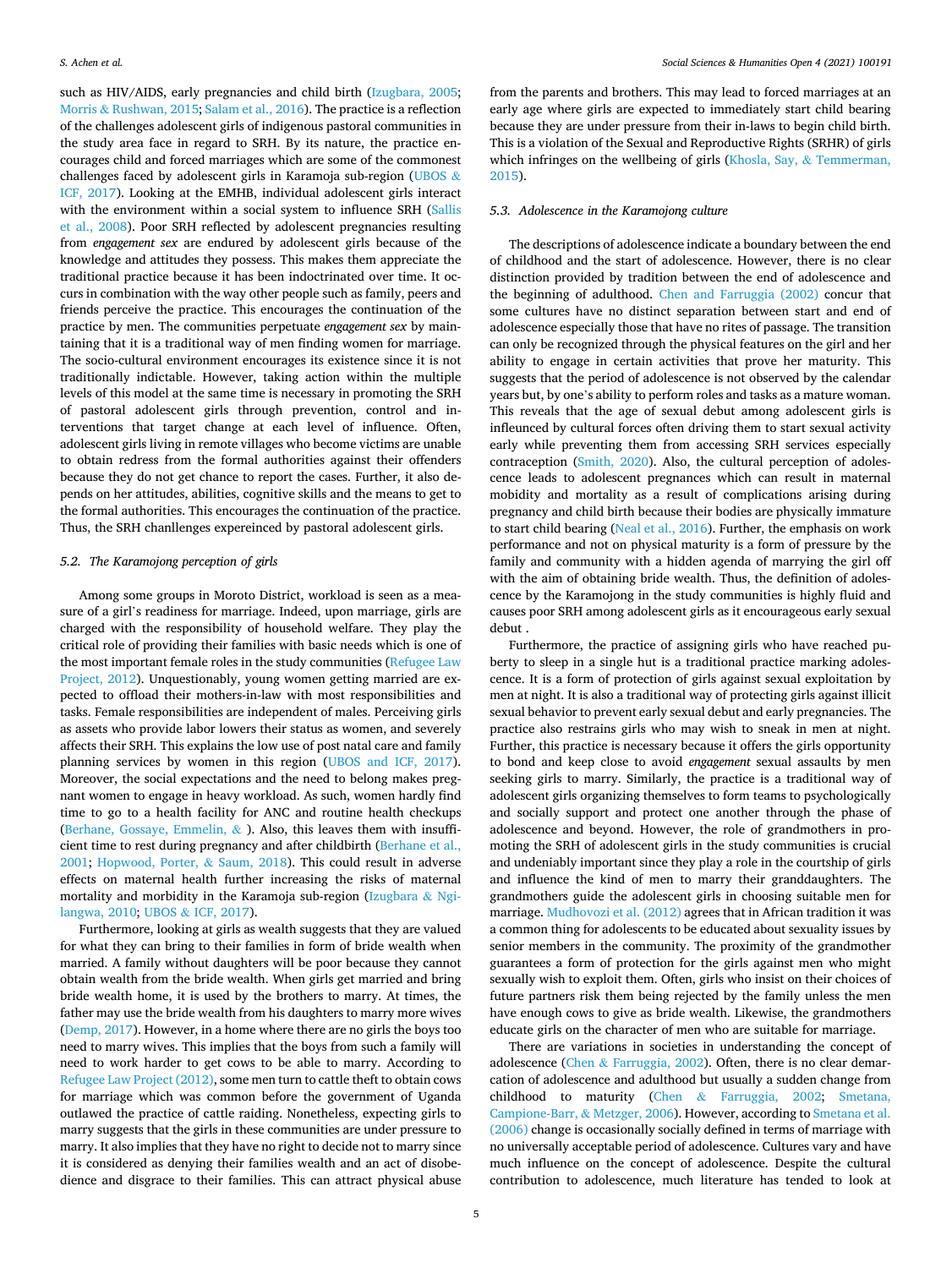such as HIV/AIDS, early pregnancies and child birth ([Izugbara, 2005](#page-5-0); Morris & [Rushwan, 2015](#page-5-0); [Salam et al., 2016](#page-5-0)). The practice is a reflection of the challenges adolescent girls of indigenous pastoral communities in the study area face in regard to SRH. By its nature, the practice encourages child and forced marriages which are some of the commonest challenges faced by adolescent girls in Karamoja sub-region [\(UBOS](#page-6-0) & [ICF, 2017\)](#page-6-0). Looking at the EMHB, individual adolescent girls interact with the environment within a social system to influence SRH (Sallis [et al., 2008\)](#page-5-0). Poor SRH reflected by adolescent pregnancies resulting from *engagement sex* are endured by adolescent girls because of the knowledge and attitudes they possess. This makes them appreciate the traditional practice because it has been indoctrinated over time. It occurs in combination with the way other people such as family, peers and friends perceive the practice. This encourages the continuation of the practice by men. The communities perpetuate *engagement sex* by maintaining that it is a traditional way of men finding women for marriage. The socio-cultural environment encourages its existence since it is not traditionally indictable. However, taking action within the multiple levels of this model at the same time is necessary in promoting the SRH of pastoral adolescent girls through prevention, control and interventions that target change at each level of influence. Often, adolescent girls living in remote villages who become victims are unable to obtain redress from the formal authorities against their offenders because they do not get chance to report the cases. Further, it also depends on her attitudes, abilities, cognitive skills and the means to get to the formal authorities. This encourages the continuation of the practice. Thus, the SRH chanllenges expereinced by pastoral adolescent girls.

## *5.2. The Karamojong perception of girls*

Among some groups in Moroto District, workload is seen as a measure of a girl's readiness for marriage. Indeed, upon marriage, girls are charged with the responsibility of household welfare. They play the critical role of providing their families with basic needs which is one of the most important female roles in the study communities [\(Refugee Law](#page-5-0)  [Project, 2012](#page-5-0)). Unquestionably, young women getting married are expected to offload their mothers-in-law with most responsibilities and tasks. Female responsibilities are independent of males. Perceiving girls as assets who provide labor lowers their status as women, and severely affects their SRH. This explains the low use of post natal care and family planning services by women in this region [\(UBOS and ICF, 2017](#page-6-0)). Moreover, the social expectations and the need to belong makes pregnant women to engage in heavy workload. As such, women hardly find time to go to a health facility for ANC and routine health checkups ([Berhane, Gossaye, Emmelin,](#page-5-0) & ). Also, this leaves them with insufficient time to rest during pregnancy and after childbirth ([Berhane et al.,](#page-5-0)  [2001;](#page-5-0) [Hopwood, Porter,](#page-5-0) & Saum, 2018). This could result in adverse effects on maternal health further increasing the risks of maternal mortality and morbidity in the Karamoja sub-region [\(Izugbara](#page-5-0) & Ngi[langwa, 2010;](#page-5-0) UBOS & [ICF, 2017](#page-6-0)).

Furthermore, looking at girls as wealth suggests that they are valued for what they can bring to their families in form of bride wealth when married. A family without daughters will be poor because they cannot obtain wealth from the bride wealth. When girls get married and bring bride wealth home, it is used by the brothers to marry. At times, the father may use the bride wealth from his daughters to marry more wives ([Demp, 2017](#page-5-0)). However, in a home where there are no girls the boys too need to marry wives. This implies that the boys from such a family will need to work harder to get cows to be able to marry. According to [Refugee Law Project \(2012\),](#page-5-0) some men turn to cattle theft to obtain cows for marriage which was common before the government of Uganda outlawed the practice of cattle raiding. Nonetheless, expecting girls to marry suggests that the girls in these communities are under pressure to marry. It also implies that they have no right to decide not to marry since it is considered as denying their families wealth and an act of disobedience and disgrace to their families. This can attract physical abuse

from the parents and brothers. This may lead to forced marriages at an early age where girls are expected to immediately start child bearing because they are under pressure from their in-laws to begin child birth. This is a violation of the Sexual and Reproductive Rights (SRHR) of girls which infringes on the wellbeing of girls (Khosla, Say, & Temmerman, [2015\)](#page-5-0).

#### *5.3. Adolescence in the Karamojong culture*

The descriptions of adolescence indicate a boundary between the end of childhood and the start of adolescence. However, there is no clear distinction provided by tradition between the end of adolescence and the beginning of adulthood. [Chen and Farruggia \(2002\)](#page-5-0) concur that some cultures have no distinct separation between start and end of adolescence especially those that have no rites of passage. The transition can only be recognized through the physical features on the girl and her ability to engage in certain activities that prove her maturity. This suggests that the period of adolescence is not observed by the calendar years but, by one's ability to perform roles and tasks as a mature woman. This reveals that the age of sexual debut among adolescent girls is infleunced by cultural forces often driving them to start sexual activity early while preventing them from accessing SRH services especially contraception ([Smith, 2020\)](#page-6-0). Also, the cultural perception of adolescence leads to adolescent pregnances which can result in maternal mobidity and mortality as a result of complications arising during pregnancy and child birth because their bodies are physically immature to start child bearing [\(Neal et al., 2016\)](#page-5-0). Further, the emphasis on work performance and not on physical maturity is a form of pressure by the family and community with a hidden agenda of marrying the girl off with the aim of obtaining bride wealth. Thus, the definition of adolescence by the Karamojong in the study communities is highly fluid and causes poor SRH among adolescent girls as it encourageous early sexual debut .

Furthermore, the practice of assigning girls who have reached puberty to sleep in a single hut is a traditional practice marking adolescence. It is a form of protection of girls against sexual exploitation by men at night. It is also a traditional way of protecting girls against illicit sexual behavior to prevent early sexual debut and early pregnancies. The practice also restrains girls who may wish to sneak in men at night. Further, this practice is necessary because it offers the girls opportunity to bond and keep close to avoid *engagement* sexual assaults by men seeking girls to marry. Similarly, the practice is a traditional way of adolescent girls organizing themselves to form teams to psychologically and socially support and protect one another through the phase of adolescence and beyond. However, the role of grandmothers in promoting the SRH of adolescent girls in the study communities is crucial and undeniably important since they play a role in the courtship of girls and influence the kind of men to marry their granddaughters. The grandmothers guide the adolescent girls in choosing suitable men for marriage. [Mudhovozi et al. \(2012\)](#page-5-0) agrees that in African tradition it was a common thing for adolescents to be educated about sexuality issues by senior members in the community. The proximity of the grandmother guarantees a form of protection for the girls against men who might sexually wish to exploit them. Often, girls who insist on their choices of future partners risk them being rejected by the family unless the men have enough cows to give as bride wealth. Likewise, the grandmothers educate girls on the character of men who are suitable for marriage.

There are variations in societies in understanding the concept of adolescence (Chen & [Farruggia, 2002](#page-5-0)). Often, there is no clear demarcation of adolescence and adulthood but usually a sudden change from childhood to maturity (Chen & [Farruggia, 2002](#page-5-0); [Smetana,](#page-6-0)  [Campione-Barr,](#page-6-0) & Metzger, 2006). However, according to [Smetana et al.](#page-6-0)  [\(2006\)](#page-6-0) change is occasionally socially defined in terms of marriage with no universally acceptable period of adolescence. Cultures vary and have much influence on the concept of adolescence. Despite the cultural contribution to adolescence, much literature has tended to look at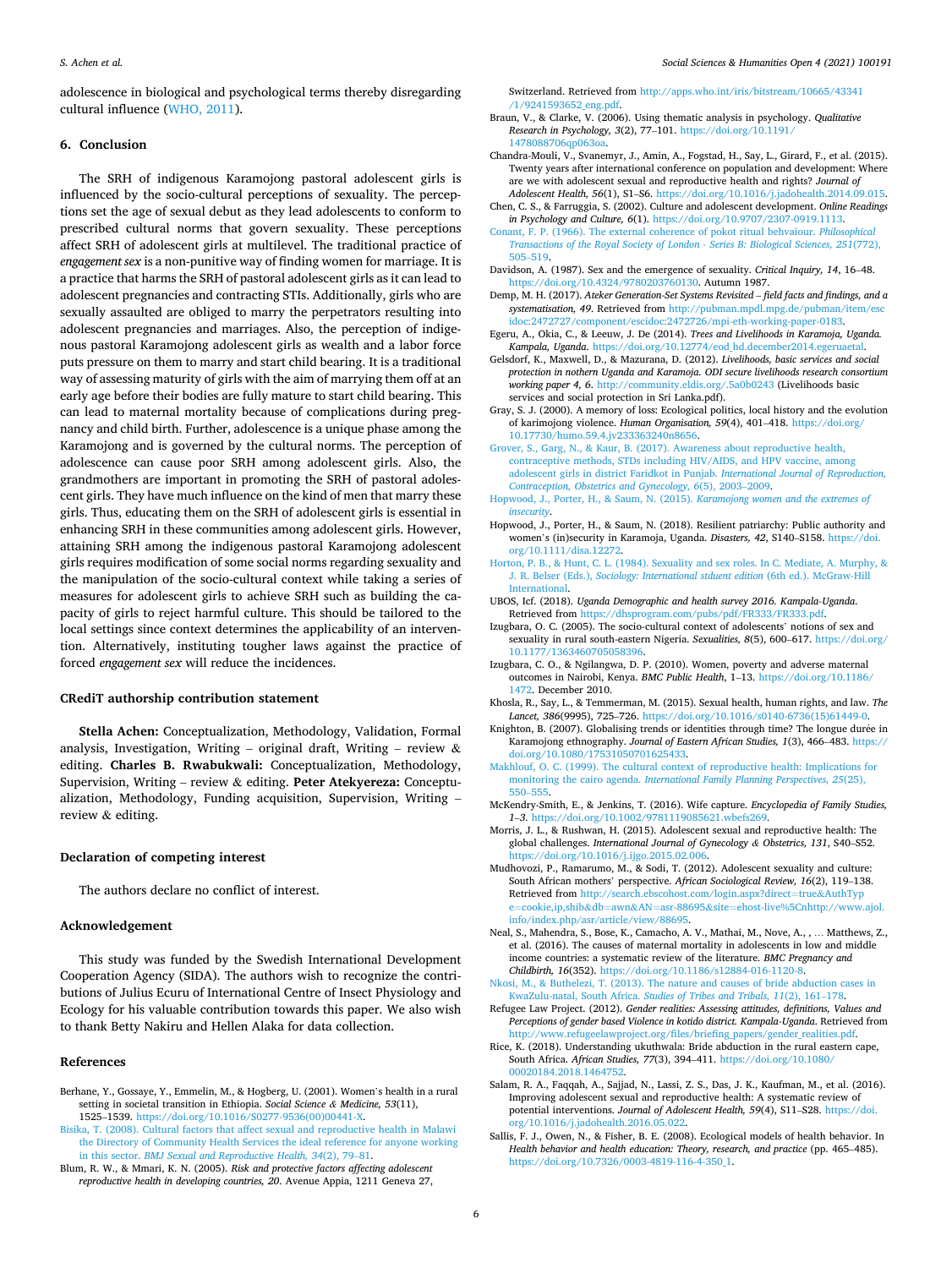<span id="page-5-0"></span>adolescence in biological and psychological terms thereby disregarding cultural influence [\(WHO, 2011\)](#page-6-0).

#### **6. Conclusion**

The SRH of indigenous Karamojong pastoral adolescent girls is influenced by the socio-cultural perceptions of sexuality. The perceptions set the age of sexual debut as they lead adolescents to conform to prescribed cultural norms that govern sexuality. These perceptions affect SRH of adolescent girls at multilevel. The traditional practice of *engagement sex* is a non-punitive way of finding women for marriage. It is a practice that harms the SRH of pastoral adolescent girls as it can lead to adolescent pregnancies and contracting STIs. Additionally, girls who are sexually assaulted are obliged to marry the perpetrators resulting into adolescent pregnancies and marriages. Also, the perception of indigenous pastoral Karamojong adolescent girls as wealth and a labor force puts pressure on them to marry and start child bearing. It is a traditional way of assessing maturity of girls with the aim of marrying them off at an early age before their bodies are fully mature to start child bearing. This can lead to maternal mortality because of complications during pregnancy and child birth. Further, adolescence is a unique phase among the Karamojong and is governed by the cultural norms. The perception of adolescence can cause poor SRH among adolescent girls. Also, the grandmothers are important in promoting the SRH of pastoral adolescent girls. They have much influence on the kind of men that marry these girls. Thus, educating them on the SRH of adolescent girls is essential in enhancing SRH in these communities among adolescent girls. However, attaining SRH among the indigenous pastoral Karamojong adolescent girls requires modification of some social norms regarding sexuality and the manipulation of the socio-cultural context while taking a series of measures for adolescent girls to achieve SRH such as building the capacity of girls to reject harmful culture. This should be tailored to the local settings since context determines the applicability of an intervention. Alternatively, instituting tougher laws against the practice of forced *engagement sex* will reduce the incidences.

## **CRediT authorship contribution statement**

**Stella Achen:** Conceptualization, Methodology, Validation, Formal analysis, Investigation, Writing – original draft, Writing – review  $\&$ editing. **Charles B. Rwabukwali:** Conceptualization, Methodology, Supervision, Writing – review & editing. **Peter Atekyereza:** Conceptualization, Methodology, Funding acquisition, Supervision, Writing – review & editing.

#### **Declaration of competing interest**

The authors declare no conflict of interest.

## **Acknowledgement**

This study was funded by the Swedish International Development Cooperation Agency (SIDA). The authors wish to recognize the contributions of Julius Ecuru of International Centre of Insect Physiology and Ecology for his valuable contribution towards this paper. We also wish to thank Betty Nakiru and Hellen Alaka for data collection.

## **References**

- Berhane, Y., Gossaye, Y., Emmelin, M., & Hogberg, U. (2001). Women's health in a rural setting in societal transition in Ethiopia. *Social Science & Medicine, 53*(11), 1525–1539. [https://doi.org/10.1016/S0277-9536\(00\)00441-X](https://doi.org/10.1016/S0277-9536(00)00441-X).
- [Bisika, T. \(2008\). Cultural factors that affect sexual and reproductive health in Malawi](http://refhub.elsevier.com/S2590-2911(21)00087-5/sref2) [the Directory of Community Health Services the ideal reference for anyone working](http://refhub.elsevier.com/S2590-2911(21)00087-5/sref2)  in this sector. *[BMJ Sexual and Reproductive Health, 34](http://refhub.elsevier.com/S2590-2911(21)00087-5/sref2)*(2), 79–81.
- Blum, R. W., & Mmari, K. N. (2005). *Risk and protective factors affecting adolescent reproductive health in developing countries, 20*. Avenue Appia, 1211 Geneva 27,

Switzerland. Retrieved from [http://apps.who.int/iris/bitstream/10665/43341](http://apps.who.int/iris/bitstream/10665/43341/1/9241593652_eng.pdf) [/1/9241593652\\_eng.pdf.](http://apps.who.int/iris/bitstream/10665/43341/1/9241593652_eng.pdf)

- Braun, V., & Clarke, V. (2006). Using thematic analysis in psychology. *Qualitative Research in Psychology, 3*(2), 77–101. [https://doi.org/10.1191/](https://doi.org/10.1191/1478088706qp063oa)  1478088706qp063o
- Chandra-Mouli, V., Svanemyr, J., Amin, A., Fogstad, H., Say, L., Girard, F., et al. (2015). Twenty years after international conference on population and development: Where are we with adolescent sexual and reproductive health and rights? *Journal of Adolescent Health, 56*(1), S1–S6. [https://doi.org/10.1016/j.jadohealth.2014.09.015.](https://doi.org/10.1016/j.jadohealth.2014.09.015)
- Chen, C. S., & Farruggia, S. (2002). Culture and adolescent development. *Online Readings in Psychology and Culture, 6*(1). <https://doi.org/10.9707/2307-0919.1113>.
- [Conant, F. P. \(1966\). The external coherence of pokot ritual behvaiour.](http://refhub.elsevier.com/S2590-2911(21)00087-5/sref7) *Philosophical [Transactions of the Royal Society of London - Series B: Biological Sciences, 251](http://refhub.elsevier.com/S2590-2911(21)00087-5/sref7)*(772), 505–[519](http://refhub.elsevier.com/S2590-2911(21)00087-5/sref7).
- Davidson, A. (1987). Sex and the emergence of sexuality. *Critical Inquiry, 14*, 16–48. <https://doi.org/10.4324/9780203760130>. Autumn 1987.
- Demp, M. H. (2017). *Ateker Generation-Set Systems Revisited field facts and findings, and a systematisation, 49*. Retrieved from [http://pubman.mpdl.mpg.de/pubman/item/esc](http://pubman.mpdl.mpg.de/pubman/item/escidoc:2472727/component/escidoc:2472726/mpi-eth-working-paper-0183)  oc:2472727/component/escidoc:2472726/mpi-eth-working-paper-0183.
- Egeru, A., Okia, C., & Leeuw, J. De (2014). *Trees and Livelihoods in Karamoja, Uganda.*  Kampala, Uganda. https://doi.org/10.12774/eod\_hd.december2014.egerua
- Gelsdorf, K., Maxwell, D., & Mazurana, D. (2012). *Livelihoods, basic services and social protection in nothern Uganda and Karamoja. ODI secure livelihoods research consortium working paper 4, 6*. [http://community.eldis.org/.5a0b0243](mailto:http://community.eldis.org/.5a0b0243) (Livelihoods basic services and social protection in Sri Lanka.pdf).
- Gray, S. J. (2000). A memory of loss: Ecological politics, local history and the evolution of karimojong violence. *Human Organisation, 59*(4), 401–418. [https://doi.org/](https://doi.org/10.17730/humo.59.4.jv233363240n8656) [10.17730/humo.59.4.jv233363240n8656](https://doi.org/10.17730/humo.59.4.jv233363240n8656).
- [Grover, S., Garg, N., & Kaur, B. \(2017\). Awareness about reproductive health,](http://refhub.elsevier.com/S2590-2911(21)00087-5/sref14) [contraceptive methods, STDs including HIV/AIDS, and HPV vaccine, among](http://refhub.elsevier.com/S2590-2911(21)00087-5/sref14)  [adolescent girls in district Faridkot in Punjab.](http://refhub.elsevier.com/S2590-2911(21)00087-5/sref14) *International Journal of Reproduction, [Contraception, Obstetrics and Gynecology, 6](http://refhub.elsevier.com/S2590-2911(21)00087-5/sref14)*(5), 2003–2009.
- [Hopwood, J., Porter, H., & Saum, N. \(2015\).](http://refhub.elsevier.com/S2590-2911(21)00087-5/sref15) *Karamojong women and the extremes of [insecurity](http://refhub.elsevier.com/S2590-2911(21)00087-5/sref15)*.
- Hopwood, J., Porter, H., & Saum, N. (2018). Resilient patriarchy: Public authority and women's (in)security in Karamoja, Uganda. *Disasters, 42*, S140–S158. [https://doi.](https://doi.org/10.1111/disa.12272) [org/10.1111/disa.12272](https://doi.org/10.1111/disa.12272).
- [Horton, P. B., & Hunt, C. L. \(1984\). Sexuality and sex roles. In C. Mediate, A. Murphy, &](http://refhub.elsevier.com/S2590-2911(21)00087-5/sref17)  J. R. Belser (Eds.), *[Sociology: International stduent edition](http://refhub.elsevier.com/S2590-2911(21)00087-5/sref17)* (6th ed.). McGraw-Hill [International](http://refhub.elsevier.com/S2590-2911(21)00087-5/sref17).
- UBOS, Icf. (2018). *Uganda Demographic and health survey 2016. Kampala-Uganda*. Retrieved from [https://dhsprogram.com/pubs/pdf/FR333/FR333.pdf.](https://dhsprogram.com/pubs/pdf/FR333/FR333.pdf)
- Izugbara, O. C. (2005). The socio-cultural context of adolescents' notions of sex and sexuality in rural south-eastern Nigeria. *Sexualities, 8*(5), 600–617. [https://doi.org/](https://doi.org/10.1177/1363460705058396)  [10.1177/1363460705058396](https://doi.org/10.1177/1363460705058396).
- Izugbara, C. O., & Ngilangwa, D. P. (2010). Women, poverty and adverse maternal outcomes in Nairobi, Kenya. *BMC Public Health*, 1–13. [https://doi.org/10.1186/](https://doi.org/10.1186/1472)  [1472.](https://doi.org/10.1186/1472) December 2010.
- Khosla, R., Say, L., & Temmerman, M. (2015). Sexual health, human rights, and law. *The Lancet, 386*(9995), 725–726. [https://doi.org/10.1016/s0140-6736\(15\)61449-0.](https://doi.org/10.1016/s0140-6736(15)61449-0)
- Knighton, B. (2007). Globalising trends or identities through time? The longue durée in Karamojong ethnography. *Journal of Eastern African Studies, 1*(3), 466–483. [https://](https://doi.org/10.1080/17531050701625433)  [doi.org/10.1080/17531050701625433](https://doi.org/10.1080/17531050701625433).
- [Makhlouf, O. C. \(1999\). The cultural context of reproductive health: Implications for](http://refhub.elsevier.com/S2590-2911(21)00087-5/sref23) monitoring the cairo agenda. *[International Family Planning Perspectives, 25](http://refhub.elsevier.com/S2590-2911(21)00087-5/sref23)*(25), 550–[555](http://refhub.elsevier.com/S2590-2911(21)00087-5/sref23).
- McKendry-Smith, E., & Jenkins, T. (2016). Wife capture. *Encyclopedia of Family Studies, 1*–*3*. <https://doi.org/10.1002/9781119085621.wbefs269>.
- Morris, J. L., & Rushwan, H. (2015). Adolescent sexual and reproductive health: The global challenges. *International Journal of Gynecology & Obstetrics, 131*, S40–S52. <https://doi.org/10.1016/j.ijgo.2015.02.006>.
- Mudhovozi, P., Ramarumo, M., & Sodi, T. (2012). Adolescent sexuality and culture: South African mothers' perspective. *African Sociological Review, 16*(2), 119–138. Retrieved from [http://search.ebscohost.com/login.aspx?direct](http://search.ebscohost.com/login.aspx?direct=true&AuthType=cookie,ip,shib&db=awn&AN=asr-88695&site=ehost-live%5Cnhttp://www.ajol.info/index.php/asr/article/view/88695)=true&AuthTyp cookie,ip,shib&db=awn&AN=asr-88695&site=ehost-live%5Cnhttp://www.ajol. [info/index.php/asr/article/view/88695.](http://search.ebscohost.com/login.aspx?direct=true&AuthType=cookie,ip,shib&db=awn&AN=asr-88695&site=ehost-live%5Cnhttp://www.ajol.info/index.php/asr/article/view/88695)
- Neal, S., Mahendra, S., Bose, K., Camacho, A. V., Mathai, M., Nove, A., , … Matthews, Z., et al. (2016). The causes of maternal mortality in adolescents in low and middle income countries: a systematic review of the literature. *BMC Pregnancy and Childbirth, 16*(352). [https://doi.org/10.1186/s12884-016-1120-8.](https://doi.org/10.1186/s12884-016-1120-8)
- [Nkosi, M., & Buthelezi, T. \(2013\). The nature and causes of bride abduction cases in](http://refhub.elsevier.com/S2590-2911(21)00087-5/sref27) KwaZulu-natal, South Africa. *[Studies of Tribes and Tribals, 11](http://refhub.elsevier.com/S2590-2911(21)00087-5/sref27)*(2), 161–178.
- Refugee Law Project. (2012). *Gender realities: Assessing attitudes, definitions, Values and Perceptions of gender based Violence in kotido district. Kampala-Uganda*. Retrieved from /www.refugeelawproject.org/files/briefing\_papers/gender\_realities.pdf
- Rice, K. (2018). Understanding ukuthwala: Bride abduction in the rural eastern cape, South Africa. *African Studies, 77*(3), 394–411. [https://doi.org/10.1080/](https://doi.org/10.1080/00020184.2018.1464752) [00020184.2018.1464752](https://doi.org/10.1080/00020184.2018.1464752).
- Salam, R. A., Faqqah, A., Sajjad, N., Lassi, Z. S., Das, J. K., Kaufman, M., et al. (2016). Improving adolescent sexual and reproductive health: A systematic review of potential interventions. *Journal of Adolescent Health, 59*(4), S11–S28. [https://doi.](https://doi.org/10.1016/j.jadohealth.2016.05.022) [org/10.1016/j.jadohealth.2016.05.022.](https://doi.org/10.1016/j.jadohealth.2016.05.022)
- Sallis, F. J., Owen, N., & Fisher, B. E. (2008). Ecological models of health behavior. In *Health behavior and health education: Theory, research, and practice* (pp. 465–485). [https://doi.org/10.7326/0003-4819-116-4-350\\_1](https://doi.org/10.7326/0003-4819-116-4-350_1).